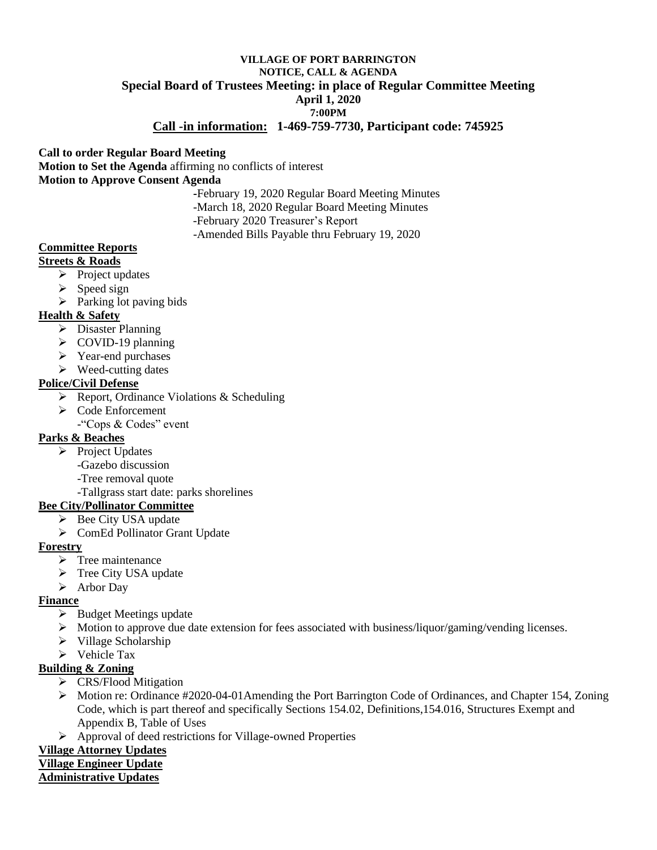## **VILLAGE OF PORT BARRINGTON NOTICE, CALL & AGENDA Special Board of Trustees Meeting: in place of Regular Committee Meeting April 1, 2020 7:00PM**

## **Call -in information: 1-469-759-7730, Participant code: 745925**

### **Call to order Regular Board Meeting**

**Motion to Set the Agenda** affirming no conflicts of interest **Motion to Approve Consent Agenda**

> **-**February 19, 2020 Regular Board Meeting Minutes -March 18, 2020 Regular Board Meeting Minutes -February 2020 Treasurer's Report -Amended Bills Payable thru February 19, 2020

#### **Committee Reports**

#### **Streets & Roads**

- $\triangleright$  Project updates
- $\triangleright$  Speed sign
- $\triangleright$  Parking lot paving bids

### **Health & Safety**

- ➢ Disaster Planning
- ➢ COVID-19 planning
- ➢ Year-end purchases
- ➢ Weed-cutting dates

#### **Police/Civil Defense**

- ➢ Report, Ordinance Violations & Scheduling
- ➢ Code Enforcement
	- -"Cops & Codes" event

### **Parks & Beaches**

- ➢ Project Updates
	- -Gazebo discussion
	- -Tree removal quote
	- -Tallgrass start date: parks shorelines

### **Bee City/Pollinator Committee**

- ➢ Bee City USA update
- ➢ ComEd Pollinator Grant Update

### **Forestry**

- ➢ Tree maintenance
- ➢ Tree City USA update
- ➢ Arbor Day

### **Finance**

- ➢ Budget Meetings update
- ➢ Motion to approve due date extension for fees associated with business/liquor/gaming/vending licenses.
- ➢ Village Scholarship
- ➢ Vehicle Tax

## **Building & Zoning**

- ➢ CRS/Flood Mitigation
- ➢ Motion re: Ordinance #2020-04-01Amending the Port Barrington Code of Ordinances, and Chapter 154, Zoning Code, which is part thereof and specifically Sections 154.02, Definitions,154.016, Structures Exempt and Appendix B, Table of Uses
- ➢ Approval of deed restrictions for Village-owned Properties

# **Village Attorney Updates**

# **Village Engineer Update**

### **Administrative Updates**